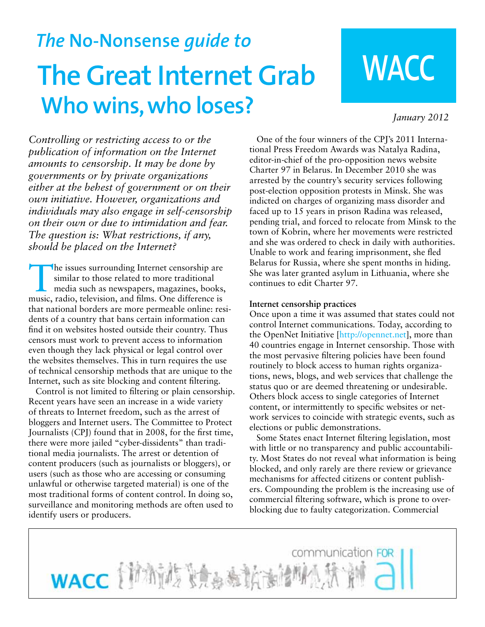## *The* **No-Nonsense** *guide to* **The Great Internet Grab Who wins, who loses?**

# **WACC**

*January 2012*

*Controlling or restricting access to or the publication of information on the Internet amounts to censorship. It may be done by governments or by private organizations either at the behest of government or on their own initiative. However, organizations and individuals may also engage in self-censorship on their own or due to intimidation and fear. The question is: What restrictions, if any, should be placed on the Internet?*

The issues surrounding Internet censorship are similar to those related to more traditional media such as newspapers, magazines, books, similar to those related to more traditional music, radio, television, and films. One difference is that national borders are more permeable online: residents of a country that bans certain information can find it on websites hosted outside their country. Thus censors must work to prevent access to information even though they lack physical or legal control over the websites themselves. This in turn requires the use of technical censorship methods that are unique to the Internet, such as site blocking and content filtering.

Control is not limited to filtering or plain censorship. Recent years have seen an increase in a wide variety of threats to Internet freedom, such as the arrest of bloggers and Internet users. The Committee to Protect Journalists (CPJ) found that in 2008, for the first time, there were more jailed "cyber-dissidents" than traditional media journalists. The arrest or detention of content producers (such as journalists or bloggers), or users (such as those who are accessing or consuming unlawful or otherwise targeted material) is one of the most traditional forms of content control. In doing so, surveillance and monitoring methods are often used to identify users or producers.

One of the four winners of the CPJ's 2011 International Press Freedom Awards was Natalya Radina, editor-in-chief of the pro-opposition news website Charter 97 in Belarus. In December 2010 she was arrested by the country's security services following post-election opposition protests in Minsk. She was indicted on charges of organizing mass disorder and faced up to 15 years in prison Radina was released, pending trial, and forced to relocate from Minsk to the town of Kobrin, where her movements were restricted and she was ordered to check in daily with authorities. Unable to work and fearing imprisonment, she fled Belarus for Russia, where she spent months in hiding. She was later granted asylum in Lithuania, where she continues to edit Charter 97.

#### **Internet censorship practices**

Once upon a time it was assumed that states could not control Internet communications. Today, according to the OpenNet Initiative [http://opennet.net], more than 40 countries engage in Internet censorship. Those with the most pervasive filtering policies have been found routinely to block access to human rights organizations, news, blogs, and web services that challenge the status quo or are deemed threatening or undesirable. Others block access to single categories of Internet content, or intermittently to specific websites or network services to coincide with strategic events, such as elections or public demonstrations.

Some States enact Internet filtering legislation, most with little or no transparency and public accountability. Most States do not reveal what information is being blocked, and only rarely are there review or grievance mechanisms for affected citizens or content publishers. Compounding the problem is the increasing use of commercial filtering software, which is prone to overblocking due to faulty categorization. Commercial

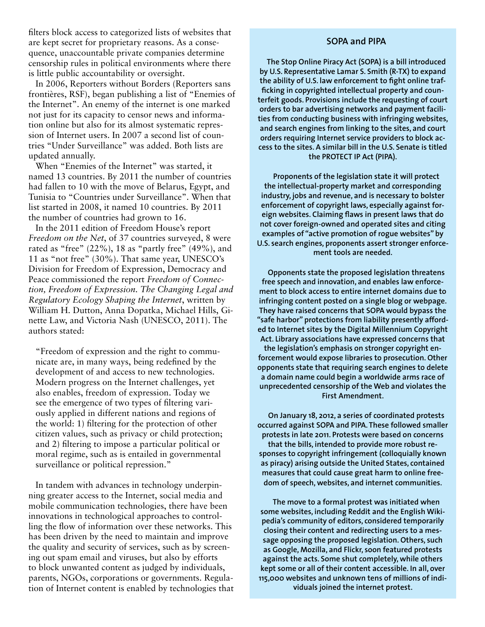filters block access to categorized lists of websites that are kept secret for proprietary reasons. As a consequence, unaccountable private companies determine censorship rules in political environments where there is little public accountability or oversight.

In 2006, Reporters without Borders (Reporters sans frontières, RSF), began publishing a list of "Enemies of the Internet". An enemy of the internet is one marked not just for its capacity to censor news and information online but also for its almost systematic repression of Internet users. In 2007 a second list of countries "Under Surveillance" was added. Both lists are updated annually.

When "Enemies of the Internet" was started, it named 13 countries. By 2011 the number of countries had fallen to 10 with the move of Belarus, Egypt, and Tunisia to "Countries under Surveillance". When that list started in 2008, it named 10 countries. By 2011 the number of countries had grown to 16.

In the 2011 edition of Freedom House's report *Freedom on the Net*, of 37 countries surveyed, 8 were rated as "free"  $(22\%)$ , 18 as "partly free"  $(49\%)$ , and 11 as "not free" (30%). That same year, UNESCO's Division for Freedom of Expression, Democracy and Peace commissioned the report *Freedom of Connection, Freedom of Expression. The Changing Legal and Regulatory Ecology Shaping the Internet*, written by William H. Dutton, Anna Dopatka, Michael Hills, Ginette Law, and Victoria Nash (UNESCO, 2011). The authors stated:

"Freedom of expression and the right to communicate are, in many ways, being redefined by the development of and access to new technologies. Modern progress on the Internet challenges, yet also enables, freedom of expression. Today we see the emergence of two types of filtering variously applied in different nations and regions of the world: 1) filtering for the protection of other citizen values, such as privacy or child protection; and 2) filtering to impose a particular political or moral regime, such as is entailed in governmental surveillance or political repression."

In tandem with advances in technology underpinning greater access to the Internet, social media and mobile communication technologies, there have been innovations in technological approaches to controlling the flow of information over these networks. This has been driven by the need to maintain and improve the quality and security of services, such as by screening out spam email and viruses, but also by efforts to block unwanted content as judged by individuals, parents, NGOs, corporations or governments. Regulation of Internet content is enabled by technologies that

#### **SOPA and PIPA**

**The Stop Online Piracy Act (SOPA) is a bill introduced by U.S. Representative Lamar S. Smith (R-TX) to expand the ability of U.S. law enforcement to fight online trafficking in copyrighted intellectual property and counterfeit goods. Provisions include the requesting of court orders to bar advertising networks and payment facilities from conducting business with infringing websites, and search engines from linking to the sites, and court orders requiring Internet service providers to block access to the sites. A similar bill in the U.S. Senate is titled the PROTECT IP Act (PIPA).**

**Proponents of the legislation state it will protect the intellectual-property market and corresponding industry, jobs and revenue, and is necessary to bolster enforcement of copyright laws, especially against foreign websites. Claiming flaws in present laws that do not cover foreign-owned and operated sites and citing examples of "active promotion of rogue websites" by U.S. search engines, proponents assert stronger enforcement tools are needed.**

**Opponents state the proposed legislation threatens free speech and innovation, and enables law enforcement to block access to entire internet domains due to infringing content posted on a single blog or webpage. They have raised concerns that SOPA would bypass the "safe harbor" protections from liability presently afforded to Internet sites by the Digital Millennium Copyright Act. Library associations have expressed concerns that the legislation's emphasis on stronger copyright enforcement would expose libraries to prosecution. Other opponents state that requiring search engines to delete a domain name could begin a worldwide arms race of unprecedented censorship of the Web and violates the First Amendment.**

**On January 18, 2012, a series of coordinated protests occurred against SOPA and PIPA. These followed smaller protests in late 2011. Protests were based on concerns that the bills, intended to provide more robust responses to copyright infringement (colloquially known as piracy) arising outside the United States, contained measures that could cause great harm to online freedom of speech, websites, and internet communities.** 

**The move to a formal protest was initiated when some websites, including Reddit and the English Wikipedia's community of editors, considered temporarily closing their content and redirecting users to a message opposing the proposed legislation. Others, such as Google, Mozilla, and Flickr, soon featured protests against the acts. Some shut completely, while others kept some or all of their content accessible. In all, over 115,000 websites and unknown tens of millions of individuals joined the internet protest.**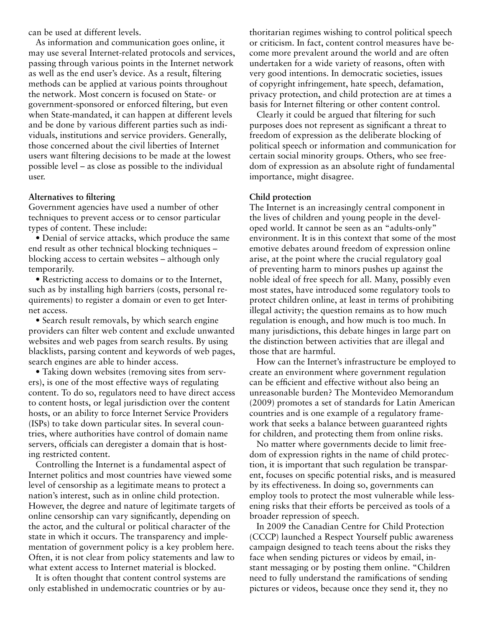can be used at different levels.

As information and communication goes online, it may use several Internet-related protocols and services, passing through various points in the Internet network as well as the end user's device. As a result, filtering methods can be applied at various points throughout the network. Most concern is focused on State- or government-sponsored or enforced filtering, but even when State-mandated, it can happen at different levels and be done by various different parties such as individuals, institutions and service providers. Generally, those concerned about the civil liberties of Internet users want filtering decisions to be made at the lowest possible level – as close as possible to the individual user.

#### **Alternatives to filtering**

Government agencies have used a number of other techniques to prevent access or to censor particular types of content. These include:

• Denial of service attacks, which produce the same end result as other technical blocking techniques – blocking access to certain websites – although only temporarily.

• Restricting access to domains or to the Internet, such as by installing high barriers (costs, personal requirements) to register a domain or even to get Internet access.

• Search result removals, by which search engine providers can filter web content and exclude unwanted websites and web pages from search results. By using blacklists, parsing content and keywords of web pages, search engines are able to hinder access.

• Taking down websites (removing sites from servers), is one of the most effective ways of regulating content. To do so, regulators need to have direct access to content hosts, or legal jurisdiction over the content hosts, or an ability to force Internet Service Providers (ISPs) to take down particular sites. In several countries, where authorities have control of domain name servers, officials can deregister a domain that is hosting restricted content.

Controlling the Internet is a fundamental aspect of Internet politics and most countries have viewed some level of censorship as a legitimate means to protect a nation's interest, such as in online child protection. However, the degree and nature of legitimate targets of online censorship can vary significantly, depending on the actor, and the cultural or political character of the state in which it occurs. The transparency and implementation of government policy is a key problem here. Often, it is not clear from policy statements and law to what extent access to Internet material is blocked.

It is often thought that content control systems are only established in undemocratic countries or by authoritarian regimes wishing to control political speech or criticism. In fact, content control measures have become more prevalent around the world and are often undertaken for a wide variety of reasons, often with very good intentions. In democratic societies, issues of copyright infringement, hate speech, defamation, privacy protection, and child protection are at times a basis for Internet filtering or other content control.

Clearly it could be argued that filtering for such purposes does not represent as significant a threat to freedom of expression as the deliberate blocking of political speech or information and communication for certain social minority groups. Others, who see freedom of expression as an absolute right of fundamental importance, might disagree.

#### **Child protection**

The Internet is an increasingly central component in the lives of children and young people in the developed world. It cannot be seen as an "adults-only" environment. It is in this context that some of the most emotive debates around freedom of expression online arise, at the point where the crucial regulatory goal of preventing harm to minors pushes up against the noble ideal of free speech for all. Many, possibly even most states, have introduced some regulatory tools to protect children online, at least in terms of prohibiting illegal activity; the question remains as to how much regulation is enough, and how much is too much. In many jurisdictions, this debate hinges in large part on the distinction between activities that are illegal and those that are harmful.

How can the Internet's infrastructure be employed to create an environment where government regulation can be efficient and effective without also being an unreasonable burden? The Montevideo Memorandum (2009) promotes a set of standards for Latin American countries and is one example of a regulatory framework that seeks a balance between guaranteed rights for children, and protecting them from online risks.

No matter where governments decide to limit freedom of expression rights in the name of child protection, it is important that such regulation be transparent, focuses on specific potential risks, and is measured by its effectiveness. In doing so, governments can employ tools to protect the most vulnerable while lessening risks that their efforts be perceived as tools of a broader repression of speech.

In 2009 the Canadian Centre for Child Protection (CCCP) launched a Respect Yourself public awareness campaign designed to teach teens about the risks they face when sending pictures or videos by email, instant messaging or by posting them online. "Children need to fully understand the ramifications of sending pictures or videos, because once they send it, they no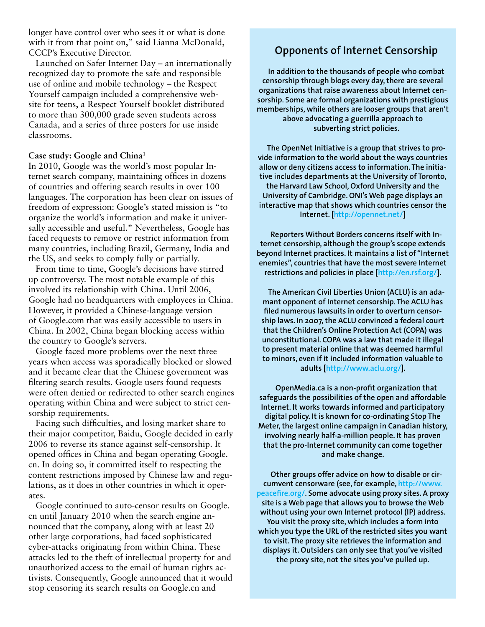longer have control over who sees it or what is done with it from that point on," said Lianna McDonald, CCCP's Executive Director.

Launched on Safer Internet Day – an internationally recognized day to promote the safe and responsible use of online and mobile technology – the Respect Yourself campaign included a comprehensive website for teens, a Respect Yourself booklet distributed to more than 300,000 grade seven students across Canada, and a series of three posters for use inside classrooms.

#### **Case study: Google and China1**

In 2010, Google was the world's most popular Internet search company, maintaining offices in dozens of countries and offering search results in over 100 languages. The corporation has been clear on issues of freedom of expression: Google's stated mission is "to organize the world's information and make it universally accessible and useful." Nevertheless, Google has faced requests to remove or restrict information from many countries, including Brazil, Germany, India and the US, and seeks to comply fully or partially.

From time to time, Google's decisions have stirred up controversy. The most notable example of this involved its relationship with China. Until 2006, Google had no headquarters with employees in China. However, it provided a Chinese-language version of Google.com that was easily accessible to users in China. In 2002, China began blocking access within the country to Google's servers.

Google faced more problems over the next three years when access was sporadically blocked or slowed and it became clear that the Chinese government was filtering search results. Google users found requests were often denied or redirected to other search engines operating within China and were subject to strict censorship requirements.

Facing such difficulties, and losing market share to their major competitor, Baidu, Google decided in early 2006 to reverse its stance against self-censorship. It opened offices in China and began operating Google. cn. In doing so, it committed itself to respecting the content restrictions imposed by Chinese law and regulations, as it does in other countries in which it operates.

Google continued to auto-censor results on Google. cn until January 2010 when the search engine announced that the company, along with at least 20 other large corporations, had faced sophisticated cyber-attacks originating from within China. These attacks led to the theft of intellectual property for and unauthorized access to the email of human rights activists. Consequently, Google announced that it would stop censoring its search results on Google.cn and

### **Opponents of Internet Censorship**

**In addition to the thousands of people who combat censorship through blogs every day, there are several organizations that raise awareness about Internet censorship. Some are formal organizations with prestigious memberships, while others are looser groups that aren't above advocating a guerrilla approach to subverting strict policies.**

**The OpenNet Initiative is a group that strives to provide information to the world about the ways countries allow or deny citizens access to information. The initiative includes departments at the University of Toronto, the Harvard Law School, Oxford University and the University of Cambridge. ONI's Web page displays an interactive map that shows which countries censor the Internet. [http://opennet.net/]**

**Reporters Without Borders concerns itself with Internet censorship, although the group's scope extends beyond Internet practices. It maintains a list of "Internet enemies", countries that have the most severe Internet restrictions and policies in place [http://en.rsf.org/].**

**The American Civil Liberties Union (ACLU) is an adamant opponent of Internet censorship. The ACLU has filed numerous lawsuits in order to overturn censorship laws. In 2007, the ACLU convinced a federal court that the Children's Online Protection Act (COPA) was unconstitutional. COPA was a law that made it illegal to present material online that was deemed harmful to minors, even if it included information valuable to adults [http://www.aclu.org/].**

**OpenMedia.ca is a non-profit organization that safeguards the possibilities of the open and affordable Internet. It works towards informed and participatory digital policy. It is known for co-ordinating Stop The Meter, the largest online campaign in Canadian history, involving nearly half-a-million people. It has proven that the pro-Internet community can come together and make change.**

**Other groups offer advice on how to disable or circumvent censorware (see, for example, http://www. peacefire.org/. Some advocate using proxy sites. A proxy site is a Web page that allows you to browse the Web without using your own Internet protocol (IP) address. You visit the proxy site, which includes a form into which you type the URL of the restricted sites you want to visit. The proxy site retrieves the information and displays it. Outsiders can only see that you've visited the proxy site, not the sites you've pulled up.**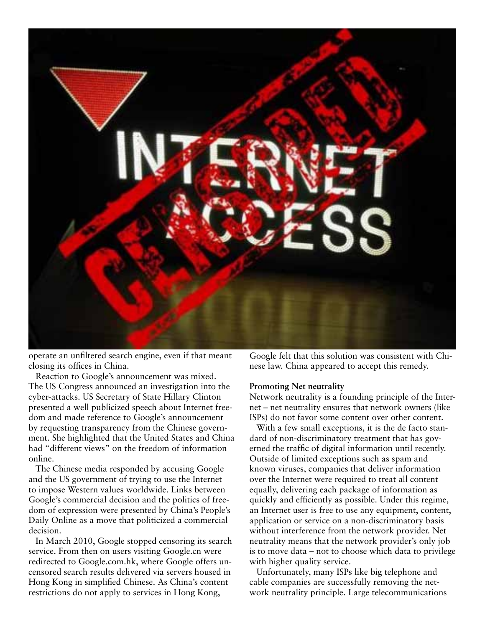

operate an unfiltered search engine, even if that meant closing its offices in China.

Reaction to Google's announcement was mixed. The US Congress announced an investigation into the cyber-attacks. US Secretary of State Hillary Clinton presented a well publicized speech about Internet freedom and made reference to Google's announcement by requesting transparency from the Chinese government. She highlighted that the United States and China had "different views" on the freedom of information online.

The Chinese media responded by accusing Google and the US government of trying to use the Internet to impose Western values worldwide. Links between Google's commercial decision and the politics of freedom of expression were presented by China's People's Daily Online as a move that politicized a commercial decision.

In March 2010, Google stopped censoring its search service. From then on users visiting Google.cn were redirected to Google.com.hk, where Google offers uncensored search results delivered via servers housed in Hong Kong in simplified Chinese. As China's content restrictions do not apply to services in Hong Kong,

Google felt that this solution was consistent with Chinese law. China appeared to accept this remedy.

#### **Promoting Net neutrality**

Network neutrality is a founding principle of the Internet – net neutrality ensures that network owners (like ISPs) do not favor some content over other content.

With a few small exceptions, it is the de facto standard of non-discriminatory treatment that has governed the traffic of digital information until recently. Outside of limited exceptions such as spam and known viruses, companies that deliver information over the Internet were required to treat all content equally, delivering each package of information as quickly and efficiently as possible. Under this regime, an Internet user is free to use any equipment, content, application or service on a non-discriminatory basis without interference from the network provider. Net neutrality means that the network provider's only job is to move data – not to choose which data to privilege with higher quality service.

Unfortunately, many ISPs like big telephone and cable companies are successfully removing the network neutrality principle. Large telecommunications